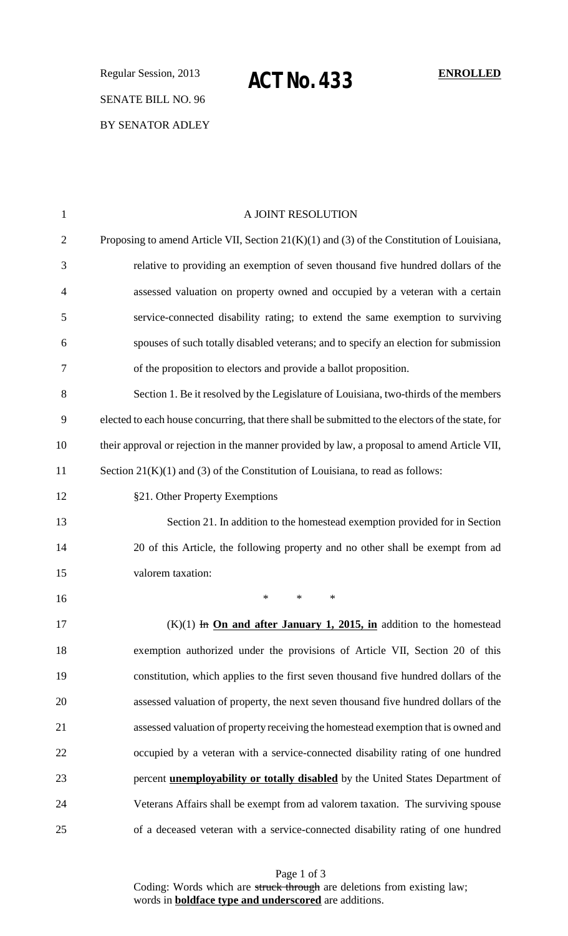Regular Session, 2013 **ENROLLED ACT No. 433**SENATE BILL NO. 96 BY SENATOR ADLEY

| 1              | A JOINT RESOLUTION                                                                                |
|----------------|---------------------------------------------------------------------------------------------------|
| $\overline{2}$ | Proposing to amend Article VII, Section $21(K)(1)$ and (3) of the Constitution of Louisiana,      |
| 3              | relative to providing an exemption of seven thousand five hundred dollars of the                  |
| $\overline{4}$ | assessed valuation on property owned and occupied by a veteran with a certain                     |
| 5              | service-connected disability rating; to extend the same exemption to surviving                    |
| 6              | spouses of such totally disabled veterans; and to specify an election for submission              |
| 7              | of the proposition to electors and provide a ballot proposition.                                  |
| 8              | Section 1. Be it resolved by the Legislature of Louisiana, two-thirds of the members              |
| 9              | elected to each house concurring, that there shall be submitted to the electors of the state, for |
| 10             | their approval or rejection in the manner provided by law, a proposal to amend Article VII,       |
| 11             | Section $21(K)(1)$ and (3) of the Constitution of Louisiana, to read as follows:                  |
| 12             | §21. Other Property Exemptions                                                                    |
| 13             | Section 21. In addition to the homestead exemption provided for in Section                        |
| 14             | 20 of this Article, the following property and no other shall be exempt from ad                   |
| 15             | valorem taxation:                                                                                 |
| 16             | $\ast$<br>∗<br>∗                                                                                  |
| 17             | $(K)(1)$ In On and after January 1, 2015, in addition to the homestead                            |
| 18             | exemption authorized under the provisions of Article VII, Section 20 of this                      |
| 19             | constitution, which applies to the first seven thousand five hundred dollars of the               |
| 20             | assessed valuation of property, the next seven thousand five hundred dollars of the               |
| 21             | assessed valuation of property receiving the homestead exemption that is owned and                |
| 22             | occupied by a veteran with a service-connected disability rating of one hundred                   |
| 23             | percent <b>unemployability or totally disabled</b> by the United States Department of             |
| 24             | Veterans Affairs shall be exempt from ad valorem taxation. The surviving spouse                   |
| 25             | of a deceased veteran with a service-connected disability rating of one hundred                   |

Page 1 of 3 Coding: Words which are struck through are deletions from existing law; words in **boldface type and underscored** are additions.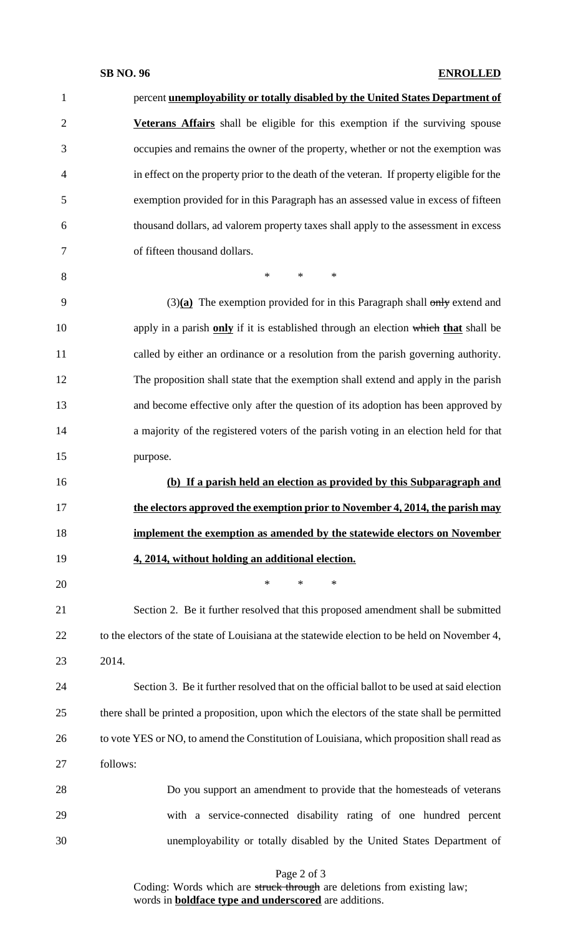### **SB NO. 96 ENROLLED**

| $\mathbf{1}$   | percent unemployability or totally disabled by the United States Department of                |
|----------------|-----------------------------------------------------------------------------------------------|
| $\mathbf{2}$   | Veterans Affairs shall be eligible for this exemption if the surviving spouse                 |
| 3              | occupies and remains the owner of the property, whether or not the exemption was              |
| $\overline{4}$ | in effect on the property prior to the death of the veteran. If property eligible for the     |
| 5              | exemption provided for in this Paragraph has an assessed value in excess of fifteen           |
| 6              | thousand dollars, ad valorem property taxes shall apply to the assessment in excess           |
| 7              | of fifteen thousand dollars.                                                                  |
| 8              | $\ast$<br>$\ast$<br>$\ast$                                                                    |
| 9              | $(3)(a)$ The exemption provided for in this Paragraph shall only extend and                   |
| 10             | apply in a parish only if it is established through an election which that shall be           |
| 11             | called by either an ordinance or a resolution from the parish governing authority.            |
| 12             | The proposition shall state that the exemption shall extend and apply in the parish           |
| 13             | and become effective only after the question of its adoption has been approved by             |
| 14             | a majority of the registered voters of the parish voting in an election held for that         |
| 15             | purpose.                                                                                      |
| 16             | (b) If a parish held an election as provided by this Subparagraph and                         |
| 17             | the electors approved the exemption prior to November 4, 2014, the parish may                 |
| 18             | implement the exemption as amended by the statewide electors on November                      |
| 19             | 4, 2014, without holding an additional election.                                              |
| 20             | $\ast$<br>$\ast$<br>∗                                                                         |
| 21             | Section 2. Be it further resolved that this proposed amendment shall be submitted             |
| 22             | to the electors of the state of Louisiana at the statewide election to be held on November 4, |
| 23             | 2014.                                                                                         |
| 24             | Section 3. Be it further resolved that on the official ballot to be used at said election     |
| 25             | there shall be printed a proposition, upon which the electors of the state shall be permitted |
| 26             | to vote YES or NO, to amend the Constitution of Louisiana, which proposition shall read as    |
| 27             | follows:                                                                                      |
| 28             | Do you support an amendment to provide that the homesteads of veterans                        |
| 29             | with a service-connected disability rating of one hundred percent                             |
| 30             | unemployability or totally disabled by the United States Department of                        |

Page 2 of 3

Coding: Words which are struck through are deletions from existing law; words in **boldface type and underscored** are additions.